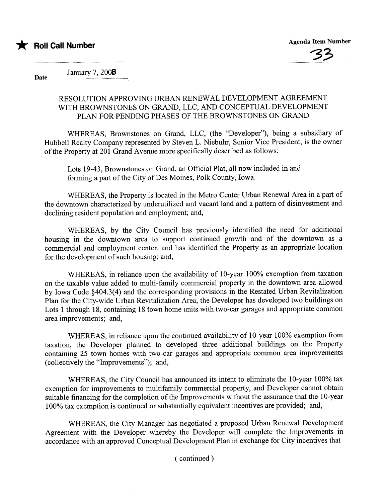

Date... January 7, 2008

## RESOLUTION APPROVING URBAN RENEWAL DEVELOPMENT AGREEMENT WITH BROWNSTONES ON GRAND, LLC, AND CONCEPTUAL DEVELOPMENT PLAN FOR PENDING PHASES OF THE BROWNSTONES ON GRAND

WHEREAS, Brownstones on Grand, LLC, (the "Developer"), being a subsidiary of Hubbell Realty Company represented by Steven L. Niebuhr, Senior Vice President, is the owner of the Property at 201 Grand Avenue more specifically described as follows:

Lots 19-43, Brownstones on Grand, an Official Plat, all now included in and forming a part of the City of Des Moines, Polk County, Iowa.

WHEREAS, the Property is located in the Metro Center Urban Renewal Area in a part of the downtown characterized by underutilized and vacant land and a pattern of disinvestment and declining resident population and employment; and,

WHEREAS, by the City Council has previously identified the need for additional housing in the downtown area to support continued growth and of the downtown as a commercial and employment center, and has identified the Property as an appropriate location for the development of such housing; and,

WHEREAS, in reliance upon the availability of 10-year 100% exemption from taxation on the taxable value added to multi-family commercial property in the downtown area allowed by Iowa Code  $§404.3(4)$  and the corresponding provisions in the Restated Urban Revitalization Plan for the City-wide Urban Revitalization Area, the Developer has developed two buildings on Lots 1 through 18, containing 18 town home units with two-car garages and appropriate common area improvements; and,

WHEREAS, in reliance upon the continued availability of 10-year 100% exemption from taxation, the Developer planned to developed three additional buildings on the Property containing 25 town homes with two-car garages and appropriate common area improvements (collectively the "Improvements"); and,

WHEREAS, the City Council has announced its intent to eliminate the 10-year 100% tax exemption for improvements to multifamily commercial property, and Developer cannot obtain suitable financing for the completion of the Improvements without the assurance that the 10-year 100% tax exemption is continued or substantially equivalent incentives are provided; and,

WHEREAS, the City Manager has negotiated a proposed Urban Renewal Development Agreement with the Developer whereby the Developer will complete the Improvements in accordance with an approved Conceptual Development Plan in exchange for City incentives that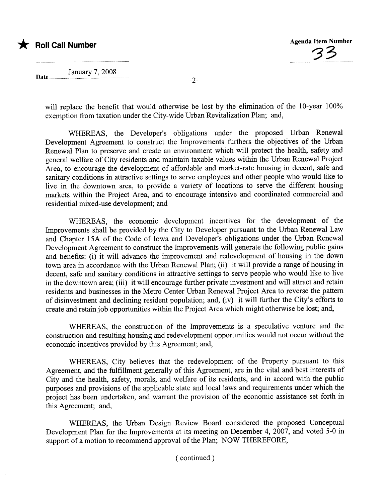

Date............ January 7, 2008

will replace the benefit that would otherwise be lost by the elimination of the 10-year 100% exemption from taxation under the City-wide Urban Revitalization Plan; and,

WHEREAS, the Developer's obligations under the proposed Urban Renewal Development Agreement to construct the Improvements furthers the objectives of the Urban Renewal Plan to preserve and create an environment which will protect the health, safety and general welfare of City residents and maintain taxable values within the Urban Renewal Project Area, to encourage the development of affordable and market-rate housing in decent, safe and sanitary conditions in attractive settings to serve employees and other people who would like to live in the downtown area, to provide a variety of locations to serve the different housing markets within the Project Area, and to encourage intensive and coordinated commercial and residential mixed-use development; and

WHEREAS, the economic development incentives for the development of the Improvements shall be provided by the City to Developer pursuant to the Urban Renewal Law and Chapter 15A of the Code of Iowa and Developer's obligations under the Urban Renewal Development Agreement to construct the Improvements will generate the following public gains and benefits: (i) it will advance the improvement and redevelopment of housing in the down town area in accordance with the Urban Renewal Plan; (ii) it will provide a range of housing in decent, safe and sanitary conditions in attractive settings to serve people who would like to live in the downtown area; (iii) it will encourage further private investment and will attract and retain residents and businesses in the Metro Center Urban Renewal Project Area to reverse the pattern of disinvestment and declining resident population; and, (iv) it will further the City's efforts to create and retain job opportunities within the Project Area which might otherwise be lost; and,

WHEREAS, the construction of the Improvements is a speculative venture and the construction and resulting housing and redevelopment opportunities would not occur without the economic incentives provided by this Agreement; and,

WHEREAS, City believes that the redevelopment of the Property pursuant to this Agreement, and the fulfillment generally of this Agreement, are in the vital and best interests of City and the health, safety, morals, and welfare of its residents, and in accord with the public purposes and provisions of the applicable state and local laws and requirements under which the project has been undertaken, and warrant the provision of the economic assistance set forth in this Agreement; and,

WHEREAS, the Urban Design Review Board considered the proposed Conceptual Development Plan for the Improvements at its meeting on December 4, 2007, and voted 5-0 in support of a motion to recommend approval of the Plan; NOW THEREFORE,

( continued)